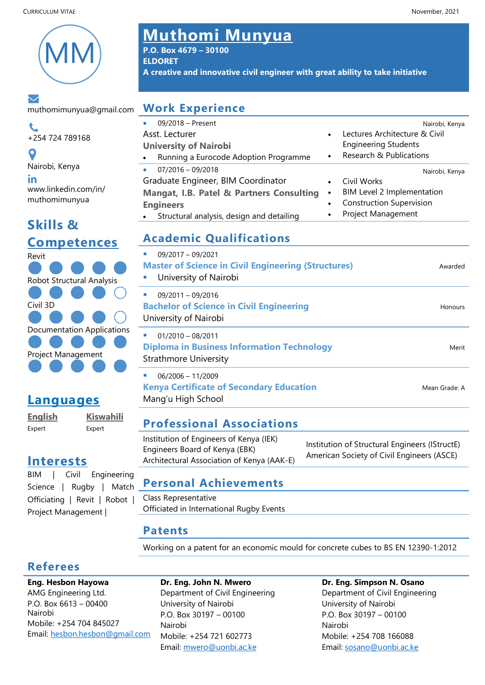

#### トン

muthomimunyua@gmail.com

 $\mathbf{C}$ +254 724 789168

 $\mathbf o$ Nairobi, Kenya in www.linkedin.com/in/ muthomimunyua

# **Skills & Competences**



# **Languages**

Expert Expert

**English Kiswahili**

**Interests**

BIM | Civil Engineering Science | Rugby | Match Officiating | Revit | Robot | Project Management |

# CURRICULUM VITAE November, 2021 **Muthomi Munyua**

**P.O. Box 4679 – 30100 ELDORET A creative and innovative civil engineer with great ability to take initiative**

# **Work Experience**

| <b><i>INDIA EVALUERE</i></b>                           |           |                                 |
|--------------------------------------------------------|-----------|---------------------------------|
| 09/2018 - Present<br>$\bullet$                         |           | Nairobi, Kenya                  |
| Asst. Lecturer                                         |           | Lectures Architecture & Civil   |
| <b>University of Nairobi</b>                           |           | <b>Engineering Students</b>     |
| Running a Eurocode Adoption Programme<br>$\bullet$     | $\bullet$ | Research & Publications         |
| $07/2016 - 09/2018$<br>$\bullet$                       |           | Nairobi, Kenya                  |
| Graduate Engineer, BIM Coordinator                     |           | Civil Works                     |
| Mangat, I.B. Patel & Partners Consulting               |           | BIM Level 2 Implementation      |
| <b>Engineers</b>                                       |           | <b>Construction Supervision</b> |
| Structural analysis, design and detailing<br>$\bullet$ |           | Project Management              |
| Academic Qualifications                                |           |                                 |

# **Academic Qualifications**

| 09/2017 - 09/2021<br><b>Master of Science in Civil Engineering (Structures)</b><br>University of Nairobi<br>$\mathcal{L}_{\mathcal{A}}$ | Awarded       |
|-----------------------------------------------------------------------------------------------------------------------------------------|---------------|
| 09/2011 - 09/2016<br><b>Bachelor of Science in Civil Engineering</b><br>University of Nairobi                                           | Honours       |
| $01/2010 - 08/2011$<br><b>Diploma in Business Information Technology</b><br><b>Strathmore University</b>                                | Merit         |
| 06/2006 - 11/2009<br><b>Kenya Certificate of Secondary Education</b><br>Mang'u High School                                              | Mean Grade: A |
|                                                                                                                                         |               |

# **Professional Associations**

| Institution of Engineers of Kenya (IEK)<br>Engineers Board of Kenya (EBK)<br>Architectural Association of Kenya (AAK-E) | Institution of Structural Engineers (IStructE)<br>American Society of Civil Engineers (ASCE) |
|-------------------------------------------------------------------------------------------------------------------------|----------------------------------------------------------------------------------------------|
|                                                                                                                         |                                                                                              |

### **Personal Achievements**

Class Representative Officiated in International Rugby Events

### **Patents**

Working on a patent for an economic mould for concrete cubes to BS EN 12390-1:2012

## **Referees**

**Eng. Hesbon Hayowa** AMG Engineering Ltd. P.O. Box 6613 – 00400 Nairobi Mobile: +254 704 845027 Email: [hesbon.hesbon@gmail.com](mailto:hesbon.hesbon@gmail.com)

#### **Dr. Eng. John N. Mwero**

Department of Civil Engineering University of Nairobi P.O. Box 30197 – 00100 Nairobi Mobile: +254 721 602773 Email: [mwero@u](mailto:mwero@)onbi.ac.ke

#### **Dr. Eng. Simpson N. Osano** Department of Civil Engineering

University of Nairobi P.O. Box 30197 – 00100 Nairobi Mobile: +254 708 166088 Email: [sosano@u](mailto:sosano@)onbi.ac.ke